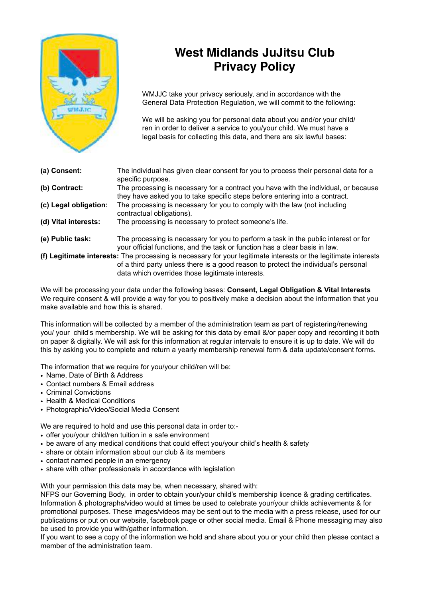

## **West Midlands JuJitsu Club Privacy Policy**

 WMJJC take your privacy seriously, and in accordance with the General Data Protection Regulation, we will commit to the following:

We will be asking you for personal data about you and/or your child/ ren in order to deliver a service to you/your child. We must have a legal basis for collecting this data, and there are six lawful bases:

- **(a) Consent:** The individual has given clear consent for you to process their personal data for a specific purpose. **(b) Contract:** The processing is necessary for a contract you have with the individual, or because they have asked you to take specific steps before entering into a contract. **(c) Legal obligation:** The processing is necessary for you to comply with the law (not including contractual obligations).<br>(d) Vital interests: The processing is neces The processing is necessary to protect someone's life. **(e) Public task:** The processing is necessary for you to perform a task in the public interest or for your official functions, and the task or function has a clear basis in law.
- **(f) Legitimate interests:** The processing is necessary for your legitimate interests or the legitimate interests of a third party unless there is a good reason to protect the individual's personal data which overrides those legitimate interests.

We will be processing your data under the following bases: **Consent, Legal Obligation & Vital Interests** We require consent & will provide a way for you to positively make a decision about the information that you make available and how this is shared.

This information will be collected by a member of the administration team as part of registering/renewing you/ your child's membership. We will be asking for this data by email &/or paper copy and recording it both on paper & digitally. We will ask for this information at regular intervals to ensure it is up to date. We will do this by asking you to complete and return a yearly membership renewal form & data update/consent forms.

The information that we require for you/your child/ren will be:

- Name, Date of Birth & Address
- Contact numbers & Email address
- Criminal Convictions
- Health & Medical Conditions
- Photographic/Video/Social Media Consent

We are required to hold and use this personal data in order to:-

- offer you/your child/ren tuition in a safe environment
- be aware of any medical conditions that could effect you/your child's health & safety
- share or obtain information about our club & its members
- contact named people in an emergency
- share with other professionals in accordance with legislation

With your permission this data may be, when necessary, shared with:

NFPS our Governing Body, in order to obtain your/your child's membership licence & grading certificates. Information & photographs/video would at times be used to celebrate your/your childs achievements & for promotional purposes. These images/videos may be sent out to the media with a press release, used for our publications or put on our website, facebook page or other social media. Email & Phone messaging may also be used to provide you with/gather information.

If you want to see a copy of the information we hold and share about you or your child then please contact a member of the administration team.